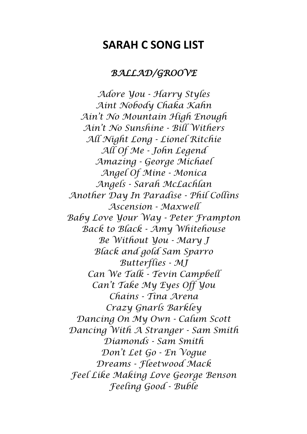## **SARAH C SONG LIST**

## *BALLAD/GROOVE*

*Adore You - Harry Styles Aint Nobody Chaka Kahn Ain't No Mountain High Enough Ain't No Sunshine - Bill Withers All Night Long - Lionel Ritchie All Of Me - John Legend Amazing - George Michael Angel Of Mine - Monica Angels - Sarah McLachlan Another Day In Paradise - Phil Collins Ascension - Maxwell Baby Love Your Way - Peter Frampton Back to Black - Amy Whitehouse Be Without You - Mary J Black and gold Sam Sparro Butterflies - MJ Can We Talk - Tevin Campbell Can't Take My Eyes Off You Chains - Tina Arena Crazy Gnarls Barkley Dancing On My Own - Calum Scott Dancing With A Stranger - Sam Smith Diamonds - Sam Smith Don't Let Go - En Vogue Dreams - Fleetwood Mack Feel Like Making Love George Benson Feeling Good - Buble*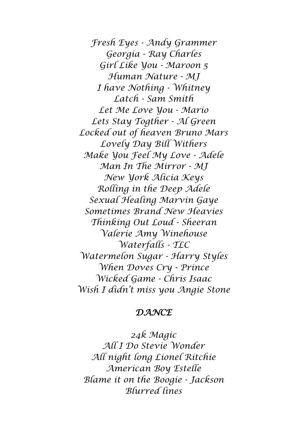*Fresh Eyes - Andy Grammer Georgia - Ray Charles Girl Like You - Maroon 5 Human Nature - MJ I have Nothing - Whitney Latch - Sam Smith Let Me Love You - Mario Lets Stay Togther - Al Green Locked out of heaven Bruno Mars Lovely Day Bill Withers Make You Feel My Love - Adele Man In The Mirror - MJ New York Alicia Keys Rolling in the Deep Adele Sexual Healing Marvin Gaye Sometimes Brand New Heavies Thinking Out Loud - Sheeran Valerie Amy Winehouse Waterfalls - TLC Watermelon Sugar - Harry Styles When Doves Cry - Prince Wicked Game - Chris Isaac Wish I didn't miss you Angie Stone*

## *DANCE*

*24k Magic All I Do Stevie Wonder All night long Lionel Ritchie American Boy Estelle Blame it on the Boogie - Jackson Blurred lines*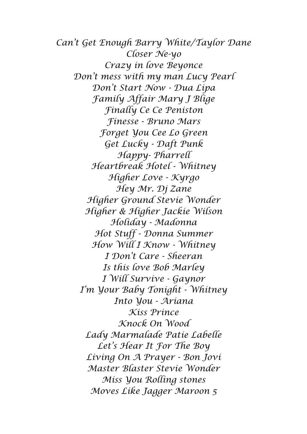*Can't Get Enough Barry White/Taylor Dane Closer Ne-yo Crazy in love Beyonce Don't mess with my man Lucy Pearl Don't Start Now - Dua Lipa Family Affair Mary J Blige Finally Ce Ce Peniston Finesse - Bruno Mars Forget You Cee Lo Green Get Lucky - Daft Punk Happy- Pharrell Heartbreak Hotel - Whitney Higher Love - Kyrgo Hey Mr. Dj Zane Higher Ground Stevie Wonder Higher & Higher Jackie Wilson Holiday - Madonna Hot Stuff - Donna Summer How Will I Know - Whitney I Don't Care - Sheeran Is this love Bob Marley I Will Survive - Gaynor I'm Your Baby Tonight - Whitney Into You - Ariana Kiss Prince Knock On Wood Lady Marmalade Patie Labelle Let's Hear It For The Boy Living On A Prayer - Bon Jovi Master Blaster Stevie Wonder Miss You Rolling stones Moves Like Jagger Maroon 5*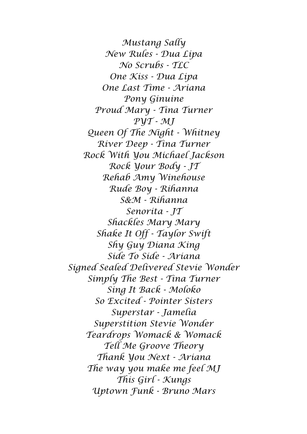*Mustang Sally New Rules - Dua Lipa No Scrubs - TLC One Kiss - Dua Lipa One Last Time - Ariana Pony Ginuine Proud Mary - Tina Turner PYT - MJ Queen Of The Night - Whitney River Deep - Tina Turner Rock With You Michael Jackson Rock Your Body - JT Rehab Amy Winehouse Rude Boy - Rihanna S&M - Rihanna Senorita - JT Shackles Mary Mary Shake It Off - Taylor Swift Shy Guy Diana King Side To Side - Ariana Signed Sealed Delivered Stevie Wonder Simply The Best - Tina Turner Sing It Back - Moloko So Excited - Pointer Sisters Superstar - Jamelia Superstition Stevie Wonder Teardrops Womack & Womack Tell Me Groove Theory Thank You Next - Ariana The way you make me feel MJ This Girl - Kungs Uptown Funk - Bruno Mars*